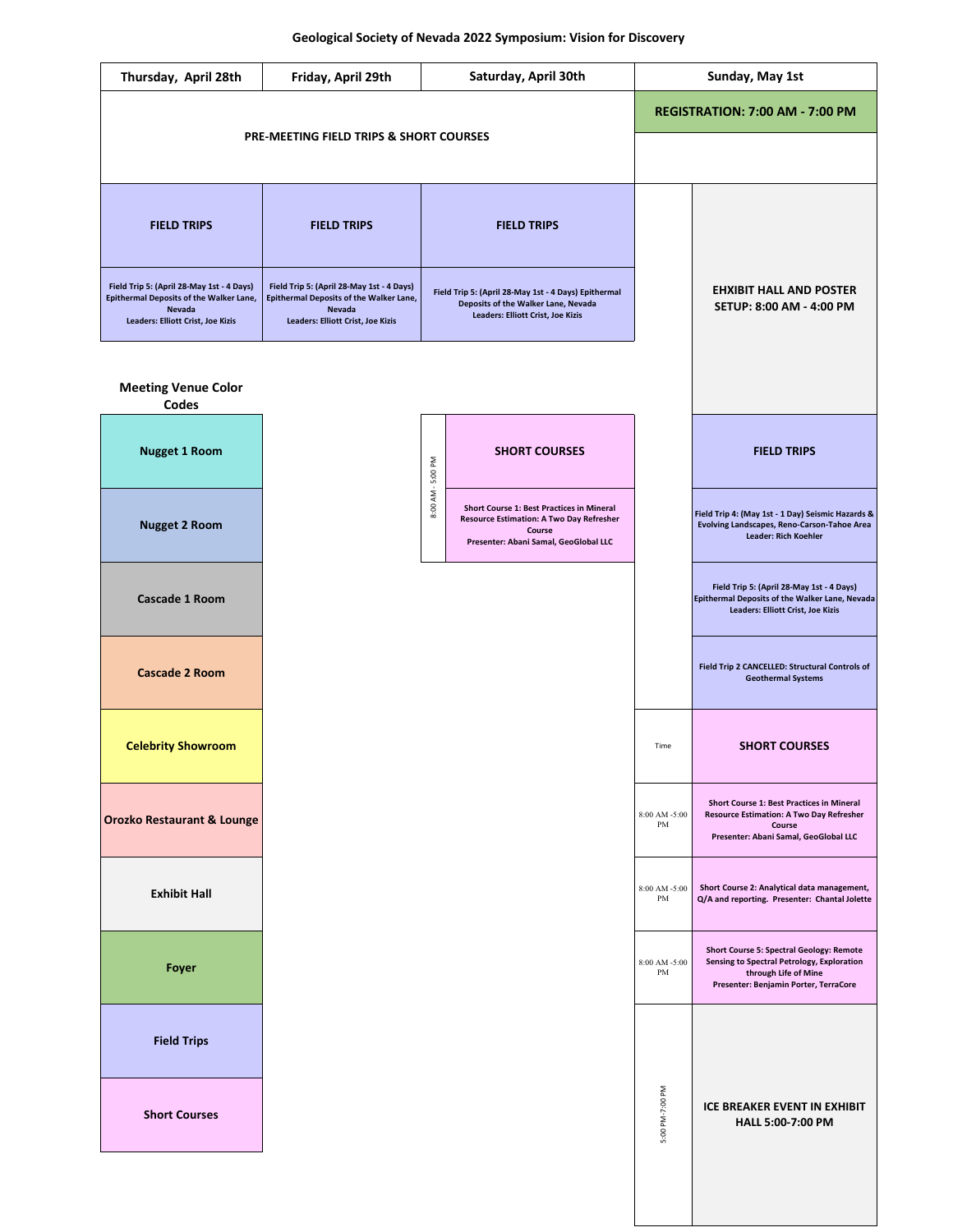| Thursday, April 28th                                                                                                                                     | Friday, April 29th                                                                                                                                       | <b>Saturday, April 30th</b>                                                                                                             | <b>Sunday, May 1st</b>                                            |
|----------------------------------------------------------------------------------------------------------------------------------------------------------|----------------------------------------------------------------------------------------------------------------------------------------------------------|-----------------------------------------------------------------------------------------------------------------------------------------|-------------------------------------------------------------------|
|                                                                                                                                                          |                                                                                                                                                          |                                                                                                                                         | <b>REGISTRATION: 7:00 AM - 7:00 PM</b>                            |
|                                                                                                                                                          | <b>PRE-MEETING FIELD TRIPS &amp; SHORT COURSES</b>                                                                                                       |                                                                                                                                         |                                                                   |
| <b>FIELD TRIPS</b>                                                                                                                                       | <b>FIELD TRIPS</b>                                                                                                                                       | <b>FIELD TRIPS</b>                                                                                                                      |                                                                   |
| Field Trip 5: (April 28-May 1st - 4 Days)<br><b>Epithermal Deposits of the Walker Lane,</b><br><b>Nevada</b><br><b>Leaders: Elliott Crist, Joe Kizis</b> | Field Trip 5: (April 28-May 1st - 4 Days)<br><b>Epithermal Deposits of the Walker Lane,</b><br><b>Nevada</b><br><b>Leaders: Elliott Crist, Joe Kizis</b> | Field Trip 5: (April 28-May 1st - 4 Days) Epithermal<br>Deposits of the Walker Lane, Nevada<br><b>Leaders: Elliott Crist, Joe Kizis</b> | <b>EHXIBIT HALL AND POSTER</b><br><b>SETUP: 8:00 AM - 4:00 PM</b> |
| <b>Meeting Venue Color</b><br><b>Codes</b>                                                                                                               |                                                                                                                                                          |                                                                                                                                         |                                                                   |
| Nuggot 1 Doom                                                                                                                                            |                                                                                                                                                          | CHODT COLIDECC                                                                                                                          | <b>CIELD TDIDC</b>                                                |



| <b>LAILINIL LIAIL</b> | PM                                       | Q/A and reporting. Presenter: Chantal Jolette                                                                                                                         |
|-----------------------|------------------------------------------|-----------------------------------------------------------------------------------------------------------------------------------------------------------------------|
| Foyer                 | $8:00$ AM -5:00<br>PM                    | <b>Short Course 5: Spectral Geology: Remote</b><br><b>Sensing to Spectral Petrology, Exploration</b><br>through Life of Mine<br>Presenter: Benjamin Porter, TerraCore |
| <b>Field Trips</b>    |                                          |                                                                                                                                                                       |
| <b>Short Courses</b>  | 7:00 PM<br>ᆕ<br>$\sum_{i=1}^{n}$<br>5:00 | ICE BREAKER EVENT IN EXHIBIT<br><b>HALL 5:00-7:00 PM</b>                                                                                                              |
|                       |                                          |                                                                                                                                                                       |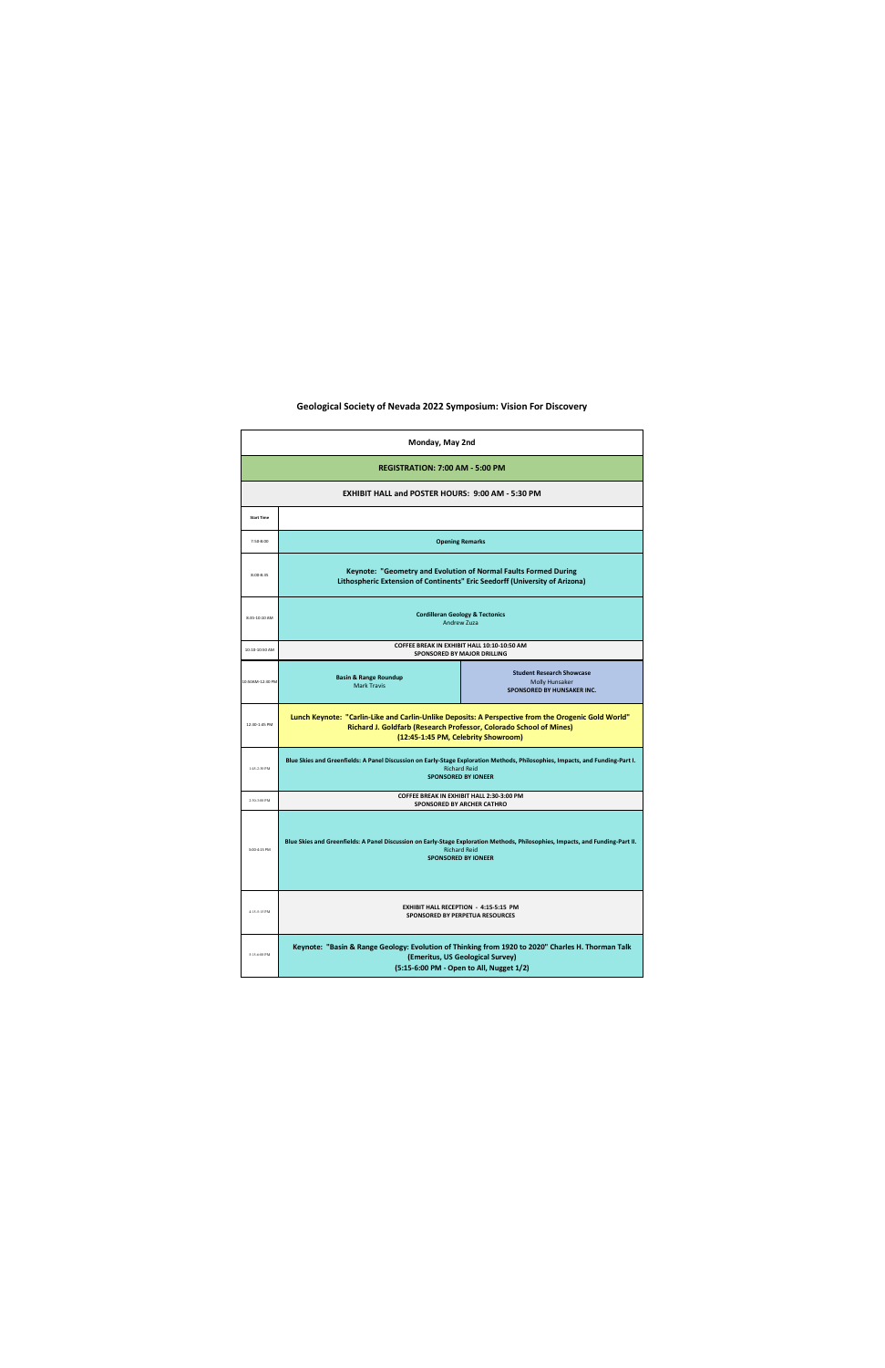| <b>Monday, May 2nd</b> |                                                                                                                                                                                                                         |                                                                                                |  |  |  |  |
|------------------------|-------------------------------------------------------------------------------------------------------------------------------------------------------------------------------------------------------------------------|------------------------------------------------------------------------------------------------|--|--|--|--|
|                        | <b>REGISTRATION: 7:00 AM - 5:00 PM</b>                                                                                                                                                                                  |                                                                                                |  |  |  |  |
|                        | <b>EXHIBIT HALL and POSTER HOURS: 9:00 AM - 5:30 PM</b>                                                                                                                                                                 |                                                                                                |  |  |  |  |
| <b>Start Time</b>      |                                                                                                                                                                                                                         |                                                                                                |  |  |  |  |
| 7:50-8:00              | <b>Opening Remarks</b>                                                                                                                                                                                                  |                                                                                                |  |  |  |  |
| $8:00 - 8:35$          | <b>Keynote: "Geometry and Evolution of Normal Faults Formed During</b><br>Lithospheric Extension of Continents" Eric Seedorff (University of Arizona)                                                                   |                                                                                                |  |  |  |  |
| 8:35-10:10 AM          | <b>Cordilleran Geology &amp; Tectonics</b><br><b>Andrew Zuza</b>                                                                                                                                                        |                                                                                                |  |  |  |  |
| 10:10-10:50 AM         |                                                                                                                                                                                                                         | <b>COFFEE BREAK IN EXHIBIT HALL 10:10-10:50 AM</b><br><b>SPONSORED BY MAJOR DRILLING</b>       |  |  |  |  |
| 10:50AM-12:30 PM       | <b>Basin &amp; Range Roundup</b><br><b>Mark Travis</b>                                                                                                                                                                  | <b>Student Research Showcase</b><br><b>Molly Hunsaker</b><br><b>SPONSORED BY HUNSAKER INC.</b> |  |  |  |  |
| 12:30-1:45 PM          | Lunch Keynote: "Carlin-Like and Carlin-Unlike Deposits: A Perspective from the Orogenic Gold World"<br><b>Richard J. Goldfarb (Research Professor, Colorado School of Mines)</b><br>(12:45-1:45 PM, Celebrity Showroom) |                                                                                                |  |  |  |  |
| 1:45-2:30 PM           | Blue Skies and Greenfields: A Panel Discussion on Early-Stage Exploration Methods, Philosophies, Impacts, and Funding-Part I.<br><b>Richard Reid</b><br><b>SPONSORED BY IONEER</b>                                      |                                                                                                |  |  |  |  |
| 2:30-3:00 PM           |                                                                                                                                                                                                                         | <b>COFFEE BREAK IN EXHIBIT HALL 2:30-3:00 PM</b><br><b>SPONSORED BY ARCHER CATHRO</b>          |  |  |  |  |
| 3:00-4:15 PM           | Blue Skies and Greenfields: A Panel Discussion on Early-Stage Exploration Methods, Philosophies, Impacts, and Funding-Part II.<br><b>Richard Reid</b><br><b>SPONSORED BY IONEER</b>                                     |                                                                                                |  |  |  |  |
| 4:15-5:15 PM           | <b>EXHIBIT HALL RECEPTION - 4:15-5:15 PM</b><br><b>SPONSORED BY PERPETUA RESOURCES</b>                                                                                                                                  |                                                                                                |  |  |  |  |
| 5:15-6:00 PM           | Keynote: "Basin & Range Geology: Evolution of Thinking from 1920 to 2020" Charles H. Thorman Talk<br>(Emeritus, US Geological Survey)<br>(5:15-6:00 PM - Open to All, Nugget 1/2)                                       |                                                                                                |  |  |  |  |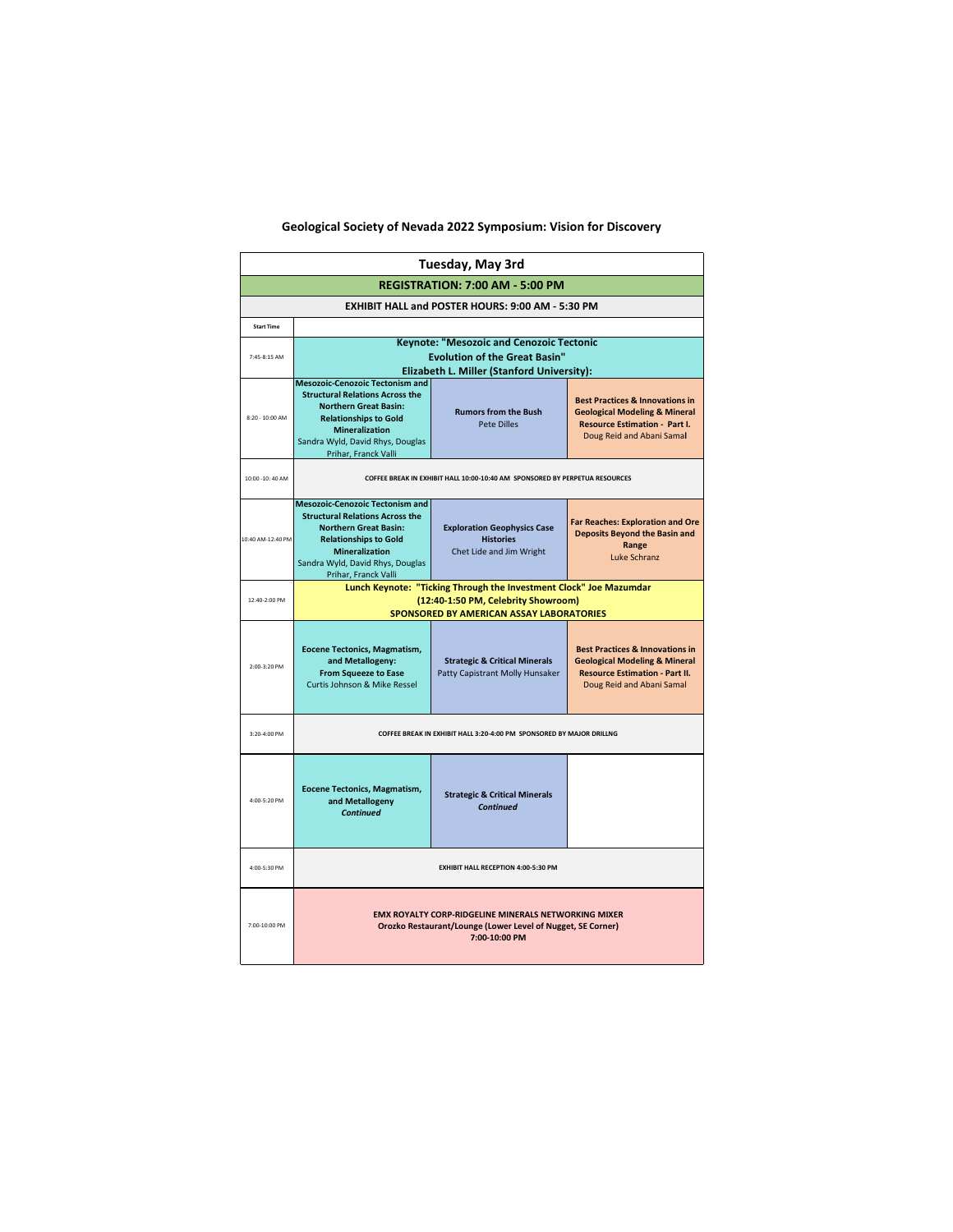| <b>Tuesday, May 3rd</b>                |                                                                                                                                                                                                                                       |                                                                                    |                                                                                                                                                              |  |
|----------------------------------------|---------------------------------------------------------------------------------------------------------------------------------------------------------------------------------------------------------------------------------------|------------------------------------------------------------------------------------|--------------------------------------------------------------------------------------------------------------------------------------------------------------|--|
| <b>REGISTRATION: 7:00 AM - 5:00 PM</b> |                                                                                                                                                                                                                                       |                                                                                    |                                                                                                                                                              |  |
|                                        |                                                                                                                                                                                                                                       | <b>EXHIBIT HALL and POSTER HOURS: 9:00 AM - 5:30 PM</b>                            |                                                                                                                                                              |  |
| <b>Start Time</b>                      |                                                                                                                                                                                                                                       |                                                                                    |                                                                                                                                                              |  |
| 7:45-8:15 AM                           | <b>Keynote: "Mesozoic and Cenozoic Tectonic</b><br><b>Evolution of the Great Basin"</b><br><b>Elizabeth L. Miller (Stanford University):</b>                                                                                          |                                                                                    |                                                                                                                                                              |  |
| 8:20 - 10:00 AM                        | <b>Mesozoic-Cenozoic Tectonism and</b><br><b>Structural Relations Across the</b><br><b>Northern Great Basin:</b><br><b>Relationships to Gold</b><br><b>Mineralization</b><br>Sandra Wyld, David Rhys, Douglas<br>Prihar, Franck Valli | <b>Rumors from the Bush</b><br><b>Pete Dilles</b>                                  | <b>Best Practices &amp; Innovations in</b><br><b>Geological Modeling &amp; Mineral</b><br><b>Resource Estimation - Part I.</b><br>Doug Reid and Abani Samal  |  |
| 10:00 -10: 40 AM                       | COFFEE BREAK IN EXHIBIT HALL 10:00-10:40 AM SPONSORED BY PERPETUA RESOURCES                                                                                                                                                           |                                                                                    |                                                                                                                                                              |  |
| 10:40 AM-12:40 PM                      | <b>Mesozoic-Cenozoic Tectonism and</b><br><b>Structural Relations Across the</b><br><b>Northern Great Basin:</b><br><b>Relationships to Gold</b><br><b>Mineralization</b><br>Sandra Wyld, David Rhys, Douglas<br>Prihar, Franck Valli | <b>Exploration Geophysics Case</b><br><b>Histories</b><br>Chet Lide and Jim Wright | <b>Far Reaches: Exploration and Ore</b><br><b>Deposits Beyond the Basin and</b><br>Range<br>Luke Schranz                                                     |  |
| 12:40-2:00 PM                          | Lunch Keynote: "Ticking Through the Investment Clock" Joe Mazumdar<br>(12:40-1:50 PM, Celebrity Showroom)<br><b>SPONSORED BY AMERICAN ASSAY LABORATORIES</b>                                                                          |                                                                                    |                                                                                                                                                              |  |
| 2:00-3:20 PM                           | Eocene Tectonics, Magmatism,<br>and Metallogeny:<br><b>From Squeeze to Ease</b><br><b>Curtis Johnson &amp; Mike Ressel</b>                                                                                                            | <b>Strategic &amp; Critical Minerals</b><br>Patty Capistrant Molly Hunsaker        | <b>Best Practices &amp; Innovations in</b><br><b>Geological Modeling &amp; Mineral</b><br><b>Resource Estimation - Part II.</b><br>Doug Reid and Abani Samal |  |
| 3:20-4:00 PM                           | COFFEE BREAK IN EXHIBIT HALL 3:20-4:00 PM SPONSORED BY MAJOR DRILLNG                                                                                                                                                                  |                                                                                    |                                                                                                                                                              |  |
| 4:00-5:20 PM                           | Eocene Tectonics, Magmatism,<br>and Metallogeny<br><b>Continued</b>                                                                                                                                                                   | <b>Strategic &amp; Critical Minerals</b><br><b>Continued</b>                       |                                                                                                                                                              |  |
| 4:00-5:30 PM                           | <b>EXHIBIT HALL RECEPTION 4:00-5:30 PM</b>                                                                                                                                                                                            |                                                                                    |                                                                                                                                                              |  |
| 7:00-10:00 PM                          | <b>EMX ROYALTY CORP-RIDGELINE MINERALS NETWORKING MIXER</b><br><b>Orozko Restaurant/Lounge (Lower Level of Nugget, SE Corner)</b><br>7:00-10:00 PM                                                                                    |                                                                                    |                                                                                                                                                              |  |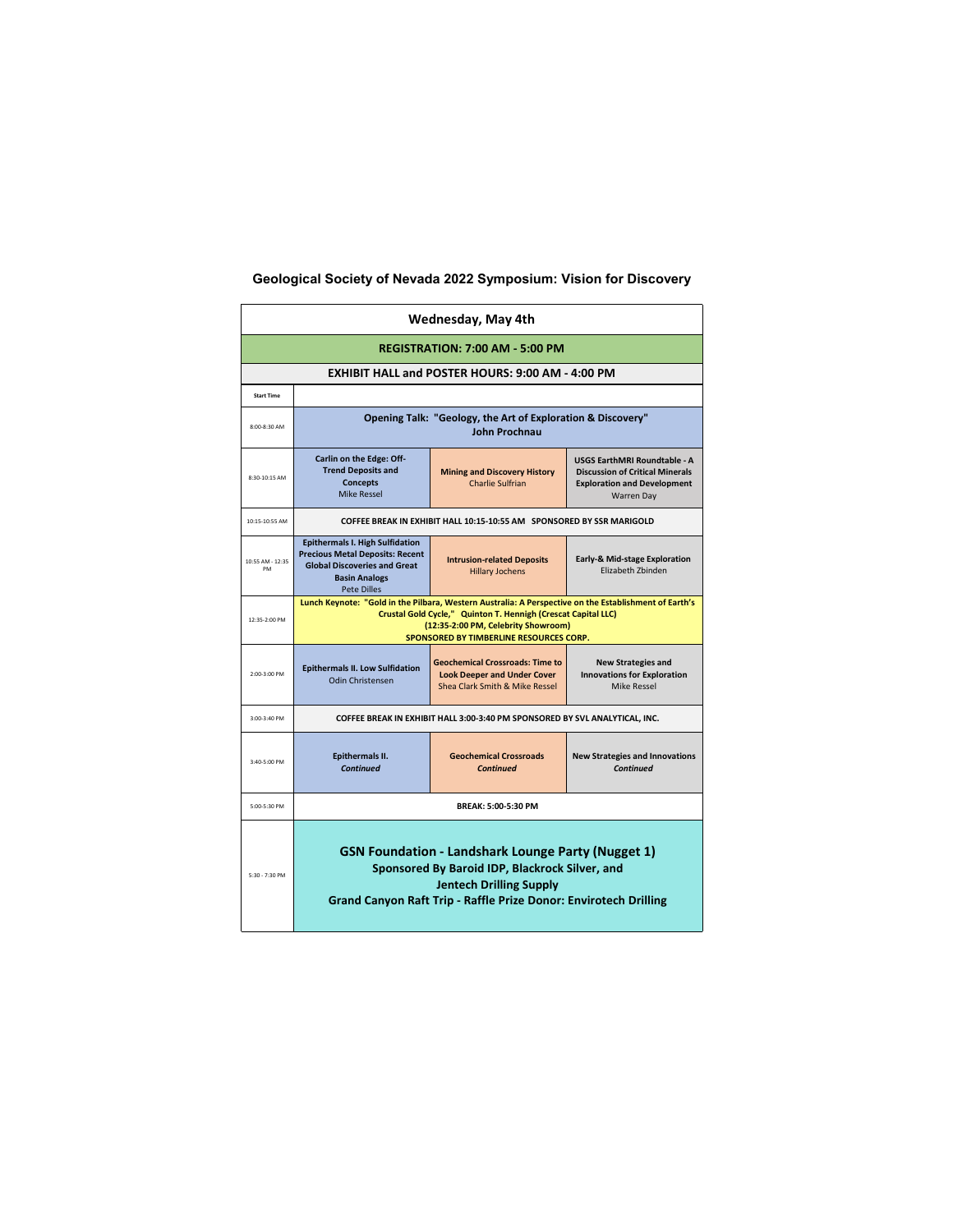| <b>Wednesday, May 4th</b>              |                                                                                                                                                                                                                                                                                                       |                                                                                                                                                                                                                                 |                                                                                                                                          |  |  |
|----------------------------------------|-------------------------------------------------------------------------------------------------------------------------------------------------------------------------------------------------------------------------------------------------------------------------------------------------------|---------------------------------------------------------------------------------------------------------------------------------------------------------------------------------------------------------------------------------|------------------------------------------------------------------------------------------------------------------------------------------|--|--|
| <b>REGISTRATION: 7:00 AM - 5:00 PM</b> |                                                                                                                                                                                                                                                                                                       |                                                                                                                                                                                                                                 |                                                                                                                                          |  |  |
|                                        |                                                                                                                                                                                                                                                                                                       | <b>EXHIBIT HALL and POSTER HOURS: 9:00 AM - 4:00 PM</b>                                                                                                                                                                         |                                                                                                                                          |  |  |
| <b>Start Time</b>                      |                                                                                                                                                                                                                                                                                                       |                                                                                                                                                                                                                                 |                                                                                                                                          |  |  |
| 8:00-8:30 AM                           | <b>Opening Talk: "Geology, the Art of Exploration &amp; Discovery"</b><br>John Prochnau                                                                                                                                                                                                               |                                                                                                                                                                                                                                 |                                                                                                                                          |  |  |
| 8:30-10:15 AM                          | <b>Carlin on the Edge: Off-</b><br><b>Trend Deposits and</b><br><b>Concepts</b><br><b>Mike Ressel</b>                                                                                                                                                                                                 | <b>Mining and Discovery History</b><br><b>Charlie Sulfrian</b>                                                                                                                                                                  | <b>USGS EarthMRI Roundtable - A</b><br><b>Discussion of Critical Minerals</b><br><b>Exploration and Development</b><br><b>Warren Day</b> |  |  |
| 10:15-10:55 AM                         |                                                                                                                                                                                                                                                                                                       | COFFEE BREAK IN EXHIBIT HALL 10:15-10:55 AM SPONSORED BY SSR MARIGOLD                                                                                                                                                           |                                                                                                                                          |  |  |
| 10:55 AM - 12:35<br><b>PM</b>          | <b>Epithermals I. High Sulfidation</b><br><b>Precious Metal Deposits: Recent</b><br><b>Early-&amp; Mid-stage Exploration</b><br><b>Intrusion-related Deposits</b><br><b>Global Discoveries and Great</b><br>Elizabeth Zbinden<br><b>Hillary Jochens</b><br><b>Basin Analogs</b><br><b>Pete Dilles</b> |                                                                                                                                                                                                                                 |                                                                                                                                          |  |  |
| 12:35-2:00 PM                          | Lunch Keynote: "Gold in the Pilbara, Western Australia: A Perspective on the Establishment of Earth's<br>Crustal Gold Cycle," Quinton T. Hennigh (Crescat Capital LLC)<br>(12:35-2:00 PM, Celebrity Showroom)<br>SPONSORED BY TIMBERLINE RESOURCES CORP.                                              |                                                                                                                                                                                                                                 |                                                                                                                                          |  |  |
| 2:00-3:00 PM                           | <b>Epithermals II. Low Sulfidation</b><br><b>Odin Christensen</b>                                                                                                                                                                                                                                     | <b>Geochemical Crossroads: Time to</b><br><b>Look Deeper and Under Cover</b><br><b>Shea Clark Smith &amp; Mike Ressel</b>                                                                                                       | <b>New Strategies and</b><br><b>Innovations for Exploration</b><br><b>Mike Ressel</b>                                                    |  |  |
| 3:00-3:40 PM                           |                                                                                                                                                                                                                                                                                                       | COFFEE BREAK IN EXHIBIT HALL 3:00-3:40 PM SPONSORED BY SVL ANALYTICAL, INC.                                                                                                                                                     |                                                                                                                                          |  |  |
| 3:40-5:00 PM                           | Epithermals II.<br><b>Continued</b>                                                                                                                                                                                                                                                                   | <b>Geochemical Crossroads</b><br><b>Continued</b>                                                                                                                                                                               | <b>New Strategies and Innovations</b><br><b>Continued</b>                                                                                |  |  |
| 5:00-5:30 PM                           | <b>BREAK: 5:00-5:30 PM</b>                                                                                                                                                                                                                                                                            |                                                                                                                                                                                                                                 |                                                                                                                                          |  |  |
| 5:30 - 7:30 PM                         |                                                                                                                                                                                                                                                                                                       | <b>GSN Foundation - Landshark Lounge Party (Nugget 1)</b><br><b>Sponsored By Baroid IDP, Blackrock Silver, and</b><br><b>Jentech Drilling Supply</b><br><b>Grand Canyon Raft Trip - Raffle Prize Donor: Envirotech Drilling</b> |                                                                                                                                          |  |  |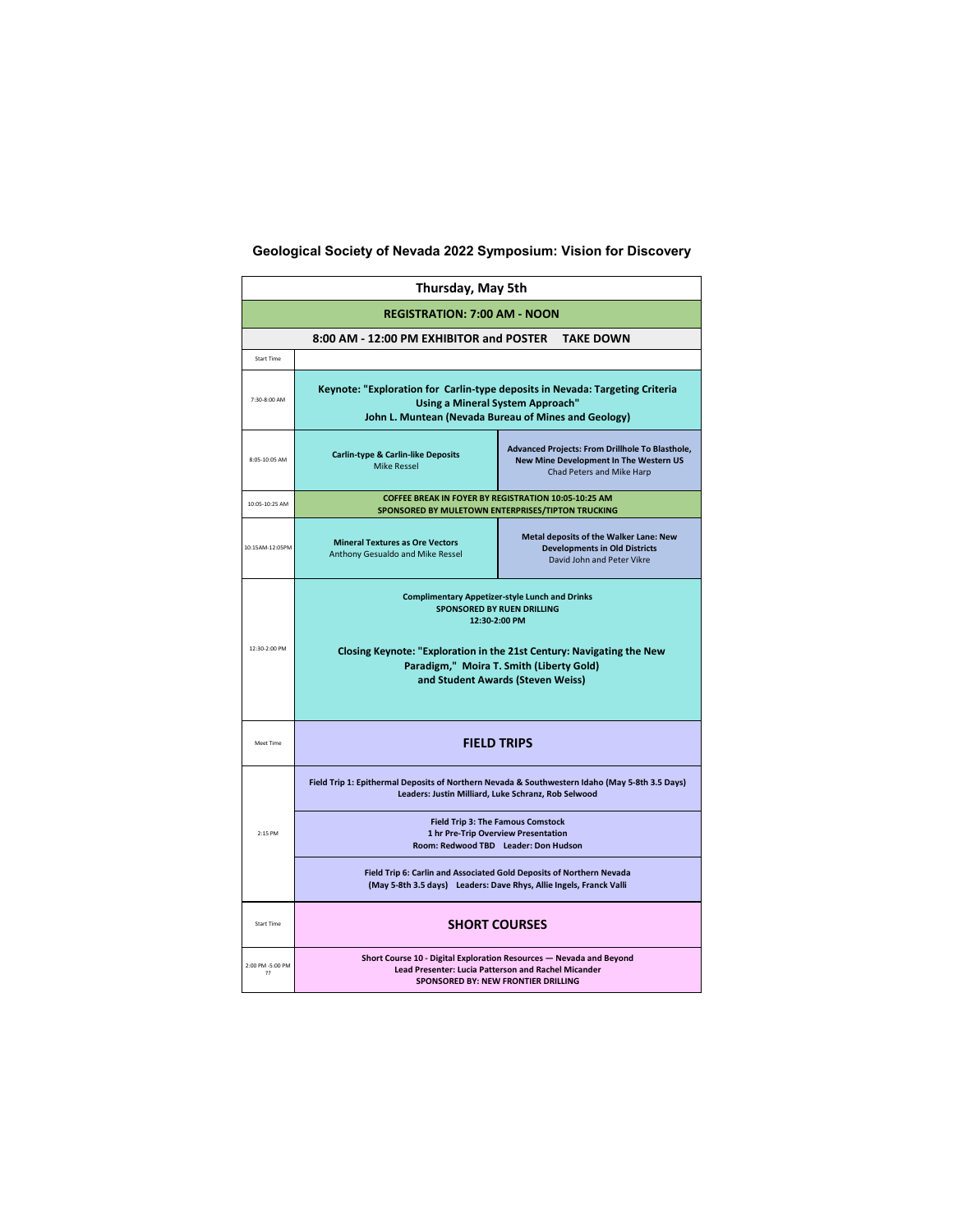| <b>Thursday, May 5th</b>            |                                                                                                                                                                                                                                                                              |                                                                                                                                             |  |  |  |  |
|-------------------------------------|------------------------------------------------------------------------------------------------------------------------------------------------------------------------------------------------------------------------------------------------------------------------------|---------------------------------------------------------------------------------------------------------------------------------------------|--|--|--|--|
| <b>REGISTRATION: 7:00 AM - NOON</b> |                                                                                                                                                                                                                                                                              |                                                                                                                                             |  |  |  |  |
|                                     | 8:00 AM - 12:00 PM EXHIBITOR and POSTER TAKE DOWN                                                                                                                                                                                                                            |                                                                                                                                             |  |  |  |  |
| <b>Start Time</b>                   |                                                                                                                                                                                                                                                                              |                                                                                                                                             |  |  |  |  |
| 7:30-8:00 AM                        | Keynote: "Exploration for Carlin-type deposits in Nevada: Targeting Criteria<br><b>Using a Mineral System Approach"</b><br>John L. Muntean (Nevada Bureau of Mines and Geology)                                                                                              |                                                                                                                                             |  |  |  |  |
| 8:05-10:05 AM                       | <b>Carlin-type &amp; Carlin-like Deposits</b><br><b>Mike Ressel</b>                                                                                                                                                                                                          | <b>Advanced Projects: From Drillhole To Blasthole,</b><br><b>New Mine Development In The Western US</b><br><b>Chad Peters and Mike Harp</b> |  |  |  |  |
| 10:05-10:25 AM                      | SPONSORED BY MULETOWN ENTERPRISES/TIPTON TRUCKING                                                                                                                                                                                                                            | <b>COFFEE BREAK IN FOYER BY REGISTRATION 10:05-10:25 AM</b>                                                                                 |  |  |  |  |
| 10:15AM-12:05PM                     | <b>Metal deposits of the Walker Lane: New</b><br><b>Mineral Textures as Ore Vectors</b><br><b>Developments in Old Districts</b><br><b>Anthony Gesualdo and Mike Ressel</b><br>David John and Peter Vikre                                                                     |                                                                                                                                             |  |  |  |  |
| 12:30-2:00 PM                       | <b>Complimentary Appetizer-style Lunch and Drinks</b><br><b>SPONSORED BY RUEN DRILLING</b><br>12:30-2:00 PM<br><b>Closing Keynote: "Exploration in the 21st Century: Navigating the New</b><br>Paradigm," Moira T. Smith (Liberty Gold)<br>and Student Awards (Steven Weiss) |                                                                                                                                             |  |  |  |  |
| <b>Meet Time</b>                    | <b>FIELD TRIPS</b>                                                                                                                                                                                                                                                           |                                                                                                                                             |  |  |  |  |
| 2:15 PM                             | Field Trip 1: Epithermal Deposits of Northern Nevada & Southwestern Idaho (May 5-8th 3.5 Days)<br>Leaders: Justin Milliard, Luke Schranz, Rob Selwood                                                                                                                        | <b>Field Trip 3: The Famous Comstock</b>                                                                                                    |  |  |  |  |
|                                     | <b>1 hr Pre-Trip Overview Presentation</b><br>Room: Redwood TBD Leader: Don Hudson                                                                                                                                                                                           |                                                                                                                                             |  |  |  |  |
|                                     | <b>Field Trip 6: Carlin and Associated Gold Deposits of Northern Nevada</b><br>(May 5-8th 3.5 days) Leaders: Dave Rhys, Allie Ingels, Franck Valli                                                                                                                           |                                                                                                                                             |  |  |  |  |
| <b>Start Time</b>                   | <b>SHORT COURSES</b>                                                                                                                                                                                                                                                         |                                                                                                                                             |  |  |  |  |
| 2:00 PM -5:00 PM<br>??              | Short Course 10 - Digital Exploration Resources — Nevada and Beyond<br><b>Lead Presenter: Lucia Patterson and Rachel Micander</b><br><b>SPONSORED BY: NEW FRONTIER DRILLING</b>                                                                                              |                                                                                                                                             |  |  |  |  |